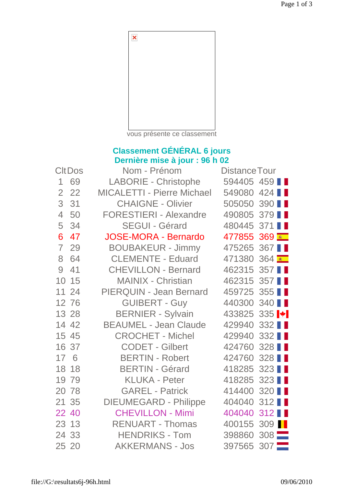

vous présente ce classement

## **Classement GÉNÉRAL 6 jours Dernière mise à jour : 96 h 02**

| <b>CltDos</b>  |       | Nom - Prénom                      | <b>Distance Tour</b>             |               |  |
|----------------|-------|-----------------------------------|----------------------------------|---------------|--|
| 1              | 69    | <b>LABORIE - Christophe</b>       | 594405 459                       |               |  |
| $\overline{2}$ | 22    | <b>MICALETTI - Pierre Michael</b> | 549080 424                       |               |  |
| 3              | 31    | <b>CHAIGNE - Olivier</b>          | 505050 390                       |               |  |
| $\overline{4}$ | 50    | <b>FORESTIERI - Alexandre</b>     | 490805 379                       |               |  |
| 5              | 34    | <b>SEGUI - Gérard</b>             | 480445 371                       |               |  |
| 6              | 47    | <b>JOSE-MORA - Bernardo</b>       | 477855 369                       |               |  |
| $\overline{7}$ | 29    | <b>BOUBAKEUR - Jimmy</b>          | 475265 367                       |               |  |
| 8              | 64    | <b>CLEMENTE - Eduard</b>          | 471380 364                       |               |  |
| 9              | 41    | <b>CHEVILLON - Bernard</b>        | 462315 357                       |               |  |
| 10             | 15    | <b>MAINIX - Christian</b>         | 462315                           | 357 <b>II</b> |  |
|                | 11 24 | <b>PIERQUIN - Jean Bernard</b>    | 459725 355                       |               |  |
|                | 12 76 | <b>GUIBERT - Guy</b>              | 440300 340                       |               |  |
|                | 13 28 | <b>BERNIER - Sylvain</b>          | 433825 335 $\blacktriangleright$ |               |  |
|                | 14 42 | <b>BEAUMEL - Jean Claude</b>      | 429940 332                       |               |  |
|                | 15 45 | <b>CROCHET - Michel</b>           | 429940 332                       |               |  |
|                | 16 37 | <b>CODET - Gilbert</b>            | 424760 328                       |               |  |
| 17 6           |       | <b>BERTIN - Robert</b>            | 424760                           | 328 <b>II</b> |  |
|                | 18 18 | <b>BERTIN - Gérard</b>            | 418285                           | 323 <b>II</b> |  |
|                | 19 79 | <b>KLUKA - Peter</b>              | 418285                           | 323           |  |
|                | 20 78 | <b>GAREL - Patrick</b>            | 414400                           | 320 <b>II</b> |  |
|                | 21 35 | <b>DIEUMEGARD - Philippe</b>      | 404040 312                       |               |  |
|                | 22 40 | <b>CHEVILLON - Mimi</b>           | 404040 312                       |               |  |
|                | 23 13 | <b>RENUART - Thomas</b>           | 400155 309                       |               |  |
|                | 24 33 | <b>HENDRIKS - Tom</b>             | 398860 308                       |               |  |
|                | 25 20 | <b>AKKERMANS - Jos</b>            | 397565 307                       |               |  |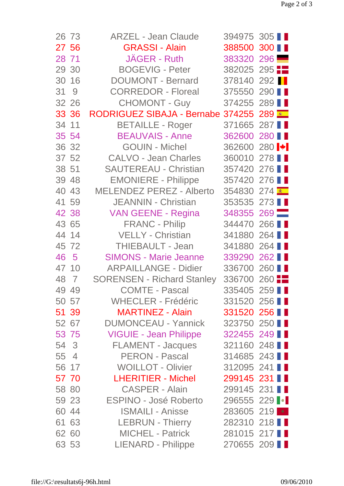| 26 73 | <b>ARZEL - Jean Claude</b>        | 394975 305                       |     |
|-------|-----------------------------------|----------------------------------|-----|
| 27 56 | <b>GRASSI - Alain</b>             | 388500 300 ■                     |     |
| 28 71 | <b>JAGER - Ruth</b>               | 383320 296                       |     |
| 29 30 | <b>BOGEVIG - Peter</b>            | 382025 295                       |     |
| 30 16 | <b>DOUMONT - Bernard</b>          | 378140 292                       |     |
| 31 9  | <b>CORREDOR - Floreal</b>         | 375550 290                       |     |
| 32 26 | <b>CHOMONT - Guy</b>              | 374255 289                       |     |
| 33 36 | <b>RODRIGUEZ SIBAJA - Bernabe</b> | 374255 289                       |     |
| 34 11 | <b>BETAILLE - Roger</b>           | 371665 287                       |     |
| 35 54 | <b>BEAUVAIS - Anne</b>            | 362600 280                       |     |
| 36 32 | <b>GOUIN - Michel</b>             | 362600 280 $\blacktriangleright$ |     |
| 37 52 | <b>CALVO - Jean Charles</b>       | 360010 278                       |     |
| 38 51 | <b>SAUTEREAU - Christian</b>      | 357420 276                       |     |
| 39 48 | <b>EMONIERE - Philippe</b>        | 357420 276                       |     |
| 40 43 | <b>MELENDEZ PEREZ - Alberto</b>   | 354830 274                       |     |
| 41 59 | <b>JEANNIN - Christian</b>        | 353535 273                       |     |
| 42 38 | <b>VAN GEENE - Regina</b>         | 348355 269                       |     |
| 43 65 | <b>FRANC - Philip</b>             | 344470 266                       |     |
| 44 14 | VELLY - Christian                 | 341880 264                       |     |
| 45 72 | THIEBAULT - Jean                  | 341880                           | 264 |
| 46 5  | <b>SIMONS - Marie Jeanne</b>      | 339290 262                       |     |
| 47 10 | <b>ARPAILLANGE - Didier</b>       | 336700 260                       |     |
| 48 7  | <b>SORENSEN - Richard Stanley</b> | 336700 260                       |     |
| 49 49 | <b>COMTE - Pascal</b>             | 335405 259                       |     |
| 50 57 | <b>WHECLER - Frédéric</b>         | 331520 256                       |     |
| 51 39 | <b>MARTINEZ - Alain</b>           | 331520 256                       |     |
| 52 67 | <b>DUMONCEAU - Yannick</b>        | 323750 250                       |     |
| 53 75 | <b>VIGUIE - Jean Philippe</b>     | 322455 249                       |     |
| 54 3  | <b>FLAMENT - Jacques</b>          | 321160 248                       |     |
| 55 4  | <b>PERON - Pascal</b>             | 314685 243                       |     |
| 56 17 | <b>WOILLOT - Olivier</b>          | 312095 241                       |     |
| 57 70 | <b>LHERITIER - Michel</b>         | 299145 231                       |     |
| 58 80 | <b>CASPER - Alain</b>             | 299145 231                       |     |
| 59 23 | <b>ESPINO - José Roberto</b>      | 296555 229                       |     |
| 60 44 | <b>ISMAILI - Anisse</b>           | 283605 219 *                     |     |
| 61 63 | <b>LEBRUN - Thierry</b>           | 282310 218                       |     |
| 62 60 | <b>MICHEL - Patrick</b>           | 281015 217                       |     |
| 63 53 | LIENARD - Philippe                | 270655 209                       |     |